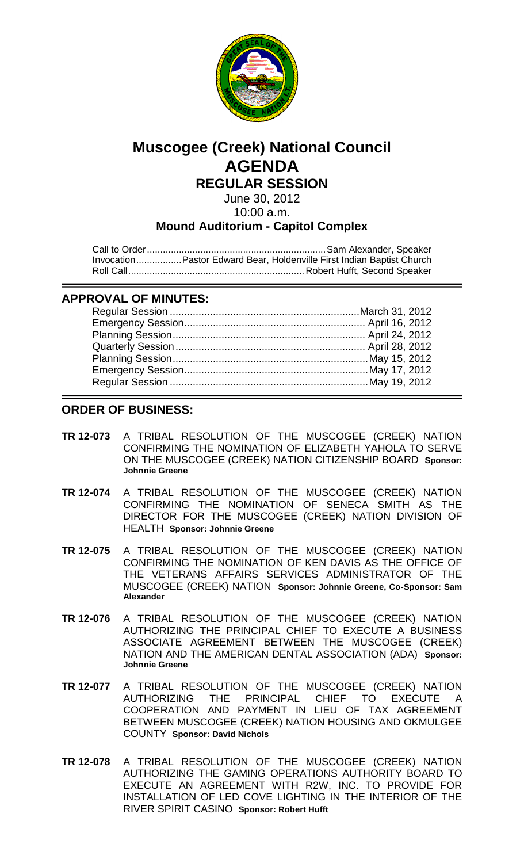

# **Muscogee (Creek) National Council AGENDA REGULAR SESSION**

June 30, 2012 10:00 a.m.

## **Mound Auditorium - Capitol Complex**

Call to Order...................................................................Sam Alexander, Speaker Invocation.................Pastor Edward Bear, Holdenville First Indian Baptist Church Roll Call.................................................................. Robert Hufft, Second Speaker

### **APPROVAL OF MINUTES:**

### **ORDER OF BUSINESS:**

- **TR 12-073** A TRIBAL RESOLUTION OF THE MUSCOGEE (CREEK) NATION CONFIRMING THE NOMINATION OF ELIZABETH YAHOLA TO SERVE ON THE MUSCOGEE (CREEK) NATION CITIZENSHIP BOARD **Sponsor: Johnnie Greene**
- **TR 12-074** A TRIBAL RESOLUTION OF THE MUSCOGEE (CREEK) NATION CONFIRMING THE NOMINATION OF SENECA SMITH AS THE DIRECTOR FOR THE MUSCOGEE (CREEK) NATION DIVISION OF HEALTH **Sponsor: Johnnie Greene**
- **TR 12-075** A TRIBAL RESOLUTION OF THE MUSCOGEE (CREEK) NATION CONFIRMING THE NOMINATION OF KEN DAVIS AS THE OFFICE OF THE VETERANS AFFAIRS SERVICES ADMINISTRATOR OF THE MUSCOGEE (CREEK) NATION **Sponsor: Johnnie Greene, Co-Sponsor: Sam Alexander**
- **TR 12-076** A TRIBAL RESOLUTION OF THE MUSCOGEE (CREEK) NATION AUTHORIZING THE PRINCIPAL CHIEF TO EXECUTE A BUSINESS ASSOCIATE AGREEMENT BETWEEN THE MUSCOGEE (CREEK) NATION AND THE AMERICAN DENTAL ASSOCIATION (ADA) **Sponsor: Johnnie Greene**
- **TR 12-077** A TRIBAL RESOLUTION OF THE MUSCOGEE (CREEK) NATION AUTHORIZING THE PRINCIPAL CHIEF TO EXECUTE A COOPERATION AND PAYMENT IN LIEU OF TAX AGREEMENT BETWEEN MUSCOGEE (CREEK) NATION HOUSING AND OKMULGEE COUNTY **Sponsor: David Nichols**
- **TR 12-078** A TRIBAL RESOLUTION OF THE MUSCOGEE (CREEK) NATION AUTHORIZING THE GAMING OPERATIONS AUTHORITY BOARD TO EXECUTE AN AGREEMENT WITH R2W, INC. TO PROVIDE FOR INSTALLATION OF LED COVE LIGHTING IN THE INTERIOR OF THE RIVER SPIRIT CASINO **Sponsor: Robert Hufft**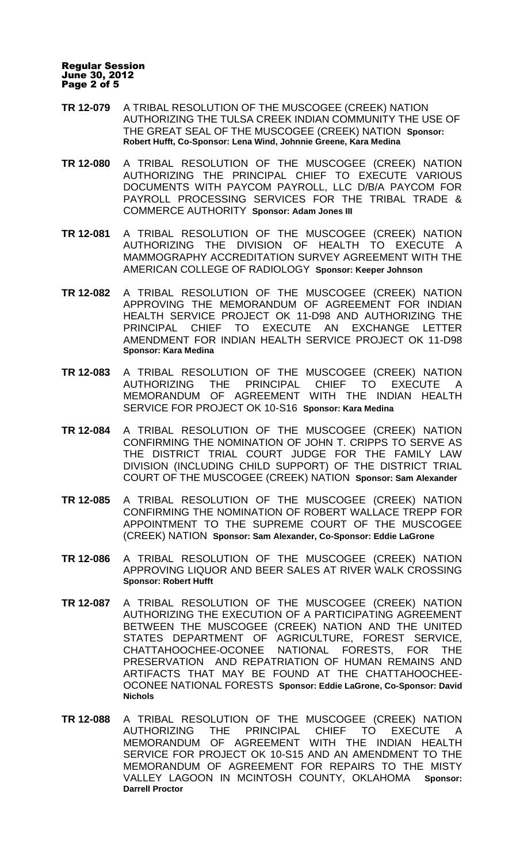#### Regular Session June 30, 2012 Page 2 of 5

- **TR 12-079** A TRIBAL RESOLUTION OF THE MUSCOGEE (CREEK) NATION AUTHORIZING THE TULSA CREEK INDIAN COMMUNITY THE USE OF THE GREAT SEAL OF THE MUSCOGEE (CREEK) NATION **Sponsor: Robert Hufft, Co-Sponsor: Lena Wind, Johnnie Greene, Kara Medina**
- **TR 12-080** A TRIBAL RESOLUTION OF THE MUSCOGEE (CREEK) NATION AUTHORIZING THE PRINCIPAL CHIEF TO EXECUTE VARIOUS DOCUMENTS WITH PAYCOM PAYROLL, LLC D/B/A PAYCOM FOR PAYROLL PROCESSING SERVICES FOR THE TRIBAL TRADE & COMMERCE AUTHORITY **Sponsor: Adam Jones III**
- **TR 12-081** A TRIBAL RESOLUTION OF THE MUSCOGEE (CREEK) NATION AUTHORIZING THE DIVISION OF HEALTH TO EXECUTE A MAMMOGRAPHY ACCREDITATION SURVEY AGREEMENT WITH THE AMERICAN COLLEGE OF RADIOLOGY **Sponsor: Keeper Johnson**
- **TR 12-082** A TRIBAL RESOLUTION OF THE MUSCOGEE (CREEK) NATION APPROVING THE MEMORANDUM OF AGREEMENT FOR INDIAN HEALTH SERVICE PROJECT OK 11-D98 AND AUTHORIZING THE PRINCIPAL CHIEF TO EXECUTE AN EXCHANGE LETTER AMENDMENT FOR INDIAN HEALTH SERVICE PROJECT OK 11-D98 **Sponsor: Kara Medina**
- **TR 12-083** A TRIBAL RESOLUTION OF THE MUSCOGEE (CREEK) NATION AUTHORIZING THE PRINCIPAL CHIEF TO EXECUTE A MEMORANDUM OF AGREEMENT WITH THE INDIAN HEALTH SERVICE FOR PROJECT OK 10-S16 **Sponsor: Kara Medina**
- **TR 12-084** A TRIBAL RESOLUTION OF THE MUSCOGEE (CREEK) NATION CONFIRMING THE NOMINATION OF JOHN T. CRIPPS TO SERVE AS THE DISTRICT TRIAL COURT JUDGE FOR THE FAMILY LAW DIVISION (INCLUDING CHILD SUPPORT) OF THE DISTRICT TRIAL COURT OF THE MUSCOGEE (CREEK) NATION **Sponsor: Sam Alexander**
- **TR 12-085** A TRIBAL RESOLUTION OF THE MUSCOGEE (CREEK) NATION CONFIRMING THE NOMINATION OF ROBERT WALLACE TREPP FOR APPOINTMENT TO THE SUPREME COURT OF THE MUSCOGEE (CREEK) NATION **Sponsor: Sam Alexander, Co-Sponsor: Eddie LaGrone**
- **TR 12-086** A TRIBAL RESOLUTION OF THE MUSCOGEE (CREEK) NATION APPROVING LIQUOR AND BEER SALES AT RIVER WALK CROSSING **Sponsor: Robert Hufft**
- **TR 12-087** A TRIBAL RESOLUTION OF THE MUSCOGEE (CREEK) NATION AUTHORIZING THE EXECUTION OF A PARTICIPATING AGREEMENT BETWEEN THE MUSCOGEE (CREEK) NATION AND THE UNITED STATES DEPARTMENT OF AGRICULTURE, FOREST SERVICE, CHATTAHOOCHEE-OCONEE NATIONAL FORESTS, FOR THE PRESERVATION AND REPATRIATION OF HUMAN REMAINS AND ARTIFACTS THAT MAY BE FOUND AT THE CHATTAHOOCHEE-OCONEE NATIONAL FORESTS **Sponsor: Eddie LaGrone, Co-Sponsor: David Nichols**
- **TR 12-088** A TRIBAL RESOLUTION OF THE MUSCOGEE (CREEK) NATION AUTHORIZING THE PRINCIPAL CHIEF TO EXECUTE A MEMORANDUM OF AGREEMENT WITH THE INDIAN HEALTH SERVICE FOR PROJECT OK 10-S15 AND AN AMENDMENT TO THE MEMORANDUM OF AGREEMENT FOR REPAIRS TO THE MISTY VALLEY LAGOON IN MCINTOSH COUNTY, OKLAHOMA **Sponsor: Darrell Proctor**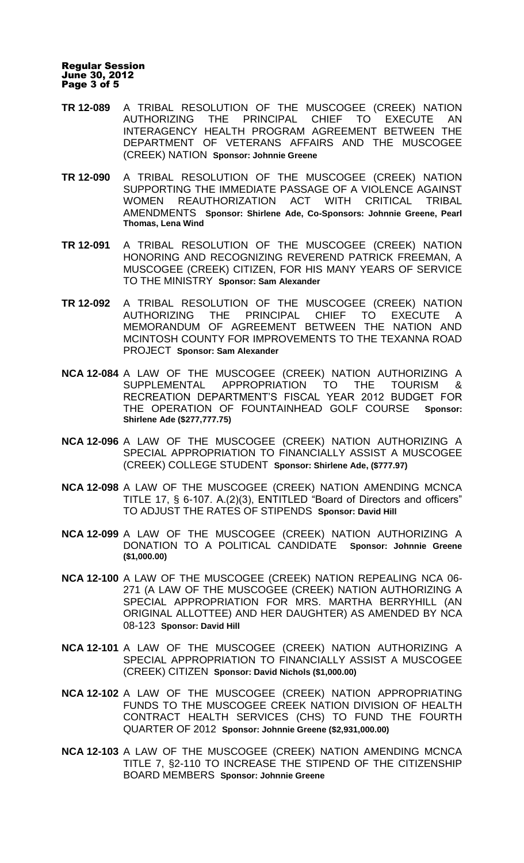#### Regular Session June 30, 2012 Page 3 of 5

- **TR 12-089** A TRIBAL RESOLUTION OF THE MUSCOGEE (CREEK) NATION AUTHORIZING THE PRINCIPAL CHIEF TO EXECUTE AN INTERAGENCY HEALTH PROGRAM AGREEMENT BETWEEN THE DEPARTMENT OF VETERANS AFFAIRS AND THE MUSCOGEE (CREEK) NATION **Sponsor: Johnnie Greene**
- **TR 12-090** A TRIBAL RESOLUTION OF THE MUSCOGEE (CREEK) NATION SUPPORTING THE IMMEDIATE PASSAGE OF A VIOLENCE AGAINST WOMEN REAUTHORIZATION ACT WITH CRITICAL TRIBAL AMENDMENTS **Sponsor: Shirlene Ade, Co-Sponsors: Johnnie Greene, Pearl Thomas, Lena Wind**
- **TR 12-091** A TRIBAL RESOLUTION OF THE MUSCOGEE (CREEK) NATION HONORING AND RECOGNIZING REVEREND PATRICK FREEMAN, A MUSCOGEE (CREEK) CITIZEN, FOR HIS MANY YEARS OF SERVICE TO THE MINISTRY **Sponsor: Sam Alexander**
- **TR 12-092** A TRIBAL RESOLUTION OF THE MUSCOGEE (CREEK) NATION AUTHORIZING THE PRINCIPAL CHIEF TO EXECUTE A MEMORANDUM OF AGREEMENT BETWEEN THE NATION AND MCINTOSH COUNTY FOR IMPROVEMENTS TO THE TEXANNA ROAD PROJECT **Sponsor: Sam Alexander**
- **NCA 12-084** A LAW OF THE MUSCOGEE (CREEK) NATION AUTHORIZING A SUPPLEMENTAL APPROPRIATION TO THE TOURISM & RECREATION DEPARTMENT'S FISCAL YEAR 2012 BUDGET FOR THE OPERATION OF FOUNTAINHEAD GOLF COURSE **Sponsor: Shirlene Ade (\$277,777.75)**
- **NCA 12-096** A LAW OF THE MUSCOGEE (CREEK) NATION AUTHORIZING A SPECIAL APPROPRIATION TO FINANCIALLY ASSIST A MUSCOGEE (CREEK) COLLEGE STUDENT **Sponsor: Shirlene Ade, (\$777.97)**
- **NCA 12-098** A LAW OF THE MUSCOGEE (CREEK) NATION AMENDING MCNCA TITLE 17, § 6-107. A.(2)(3), ENTITLED "Board of Directors and officers" TO ADJUST THE RATES OF STIPENDS **Sponsor: David Hill**
- **NCA 12-099** A LAW OF THE MUSCOGEE (CREEK) NATION AUTHORIZING A DONATION TO A POLITICAL CANDIDATE **Sponsor: Johnnie Greene (\$1,000.00)**
- **NCA 12-100** A LAW OF THE MUSCOGEE (CREEK) NATION REPEALING NCA 06- 271 (A LAW OF THE MUSCOGEE (CREEK) NATION AUTHORIZING A SPECIAL APPROPRIATION FOR MRS. MARTHA BERRYHILL (AN ORIGINAL ALLOTTEE) AND HER DAUGHTER) AS AMENDED BY NCA 08-123 **Sponsor: David Hill**
- **NCA 12-101** A LAW OF THE MUSCOGEE (CREEK) NATION AUTHORIZING A SPECIAL APPROPRIATION TO FINANCIALLY ASSIST A MUSCOGEE (CREEK) CITIZEN **Sponsor: David Nichols (\$1,000.00)**
- **NCA 12-102** A LAW OF THE MUSCOGEE (CREEK) NATION APPROPRIATING FUNDS TO THE MUSCOGEE CREEK NATION DIVISION OF HEALTH CONTRACT HEALTH SERVICES (CHS) TO FUND THE FOURTH QUARTER OF 2012 **Sponsor: Johnnie Greene (\$2,931,000.00)**
- **NCA 12-103** A LAW OF THE MUSCOGEE (CREEK) NATION AMENDING MCNCA TITLE 7, §2-110 TO INCREASE THE STIPEND OF THE CITIZENSHIP BOARD MEMBERS **Sponsor: Johnnie Greene**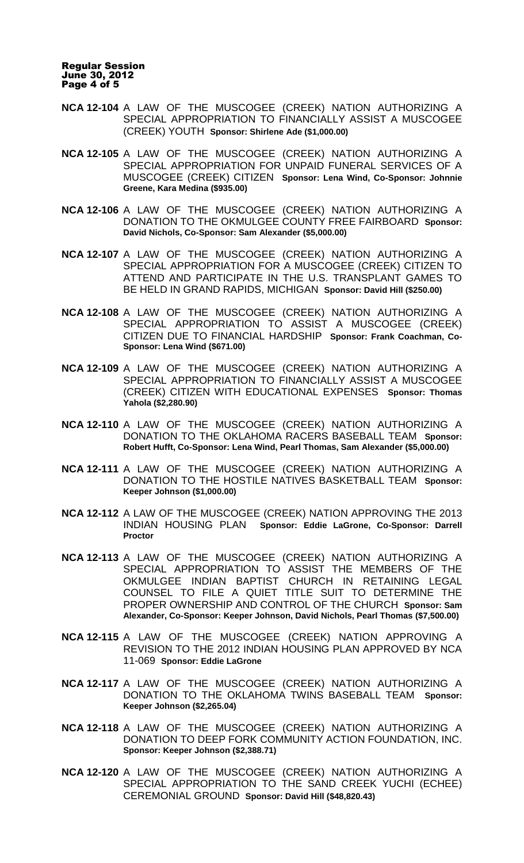Regular Session June 30, 2012 Page 4 of 5

- **NCA 12-104** A LAW OF THE MUSCOGEE (CREEK) NATION AUTHORIZING A SPECIAL APPROPRIATION TO FINANCIALLY ASSIST A MUSCOGEE (CREEK) YOUTH **Sponsor: Shirlene Ade (\$1,000.00)**
- **NCA 12-105** A LAW OF THE MUSCOGEE (CREEK) NATION AUTHORIZING A SPECIAL APPROPRIATION FOR UNPAID FUNERAL SERVICES OF A MUSCOGEE (CREEK) CITIZEN **Sponsor: Lena Wind, Co-Sponsor: Johnnie Greene, Kara Medina (\$935.00)**
- **NCA 12-106** A LAW OF THE MUSCOGEE (CREEK) NATION AUTHORIZING A DONATION TO THE OKMULGEE COUNTY FREE FAIRBOARD **Sponsor: David Nichols, Co-Sponsor: Sam Alexander (\$5,000.00)**
- **NCA 12-107** A LAW OF THE MUSCOGEE (CREEK) NATION AUTHORIZING A SPECIAL APPROPRIATION FOR A MUSCOGEE (CREEK) CITIZEN TO ATTEND AND PARTICIPATE IN THE U.S. TRANSPLANT GAMES TO BE HELD IN GRAND RAPIDS, MICHIGAN **Sponsor: David Hill (\$250.00)**
- **NCA 12-108** A LAW OF THE MUSCOGEE (CREEK) NATION AUTHORIZING A SPECIAL APPROPRIATION TO ASSIST A MUSCOGEE (CREEK) CITIZEN DUE TO FINANCIAL HARDSHIP **Sponsor: Frank Coachman, Co-Sponsor: Lena Wind (\$671.00)**
- **NCA 12-109** A LAW OF THE MUSCOGEE (CREEK) NATION AUTHORIZING A SPECIAL APPROPRIATION TO FINANCIALLY ASSIST A MUSCOGEE (CREEK) CITIZEN WITH EDUCATIONAL EXPENSES **Sponsor: Thomas Yahola (\$2,280.90)**
- **NCA 12-110** A LAW OF THE MUSCOGEE (CREEK) NATION AUTHORIZING A DONATION TO THE OKLAHOMA RACERS BASEBALL TEAM **Sponsor: Robert Hufft, Co-Sponsor: Lena Wind, Pearl Thomas, Sam Alexander (\$5,000.00)**
- **NCA 12-111** A LAW OF THE MUSCOGEE (CREEK) NATION AUTHORIZING A DONATION TO THE HOSTILE NATIVES BASKETBALL TEAM **Sponsor: Keeper Johnson (\$1,000.00)**
- **NCA 12-112** A LAW OF THE MUSCOGEE (CREEK) NATION APPROVING THE 2013 INDIAN HOUSING PLAN **Sponsor: Eddie LaGrone, Co-Sponsor: Darrell Proctor**
- **NCA 12-113** A LAW OF THE MUSCOGEE (CREEK) NATION AUTHORIZING A SPECIAL APPROPRIATION TO ASSIST THE MEMBERS OF THE OKMULGEE INDIAN BAPTIST CHURCH IN RETAINING LEGAL COUNSEL TO FILE A QUIET TITLE SUIT TO DETERMINE THE PROPER OWNERSHIP AND CONTROL OF THE CHURCH **Sponsor: Sam Alexander, Co-Sponsor: Keeper Johnson, David Nichols, Pearl Thomas (\$7,500.00)**
- **NCA 12-115** A LAW OF THE MUSCOGEE (CREEK) NATION APPROVING A REVISION TO THE 2012 INDIAN HOUSING PLAN APPROVED BY NCA 11-069 **Sponsor: Eddie LaGrone**
- **NCA 12-117** A LAW OF THE MUSCOGEE (CREEK) NATION AUTHORIZING A DONATION TO THE OKLAHOMA TWINS BASEBALL TEAM **Sponsor: Keeper Johnson (\$2,265.04)**
- **NCA 12-118** A LAW OF THE MUSCOGEE (CREEK) NATION AUTHORIZING A DONATION TO DEEP FORK COMMUNITY ACTION FOUNDATION, INC. **Sponsor: Keeper Johnson (\$2,388.71)**
- **NCA 12-120** A LAW OF THE MUSCOGEE (CREEK) NATION AUTHORIZING A SPECIAL APPROPRIATION TO THE SAND CREEK YUCHI (ECHEE) CEREMONIAL GROUND **Sponsor: David Hill (\$48,820.43)**